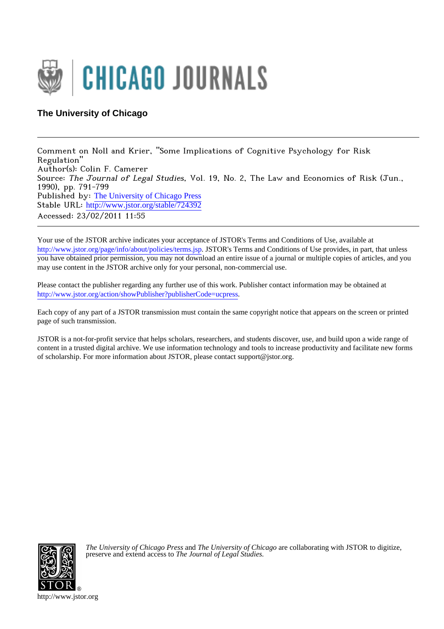

# **The University of Chicago**

Comment on Noll and Krier, "Some Implications of Cognitive Psychology for Risk Regulation" Author(s): Colin F. Camerer Source: The Journal of Legal Studies, Vol. 19, No. 2, The Law and Economics of Risk (Jun., 1990), pp. 791-799 Published by: [The University of Chicago Press](http://www.jstor.org/action/showPublisher?publisherCode=ucpress) Stable URL: http://www.jstor.org/stable/724392 Accessed: 23/02/2011 11:55

Your use of the JSTOR archive indicates your acceptance of JSTOR's Terms and Conditions of Use, available at <http://www.jstor.org/page/info/about/policies/terms.jsp>. JSTOR's Terms and Conditions of Use provides, in part, that unless you have obtained prior permission, you may not download an entire issue of a journal or multiple copies of articles, and you may use content in the JSTOR archive only for your personal, non-commercial use.

Please contact the publisher regarding any further use of this work. Publisher contact information may be obtained at [http://www.jstor.org/action/showPublisher?publisherCode=ucpress.](http://www.jstor.org/action/showPublisher?publisherCode=ucpress) .

Each copy of any part of a JSTOR transmission must contain the same copyright notice that appears on the screen or printed page of such transmission.

JSTOR is a not-for-profit service that helps scholars, researchers, and students discover, use, and build upon a wide range of content in a trusted digital archive. We use information technology and tools to increase productivity and facilitate new forms of scholarship. For more information about JSTOR, please contact support@jstor.org.



*The University of Chicago Press* and *The University of Chicago* are collaborating with JSTOR to digitize, preserve and extend access to *The Journal of Legal Studies.*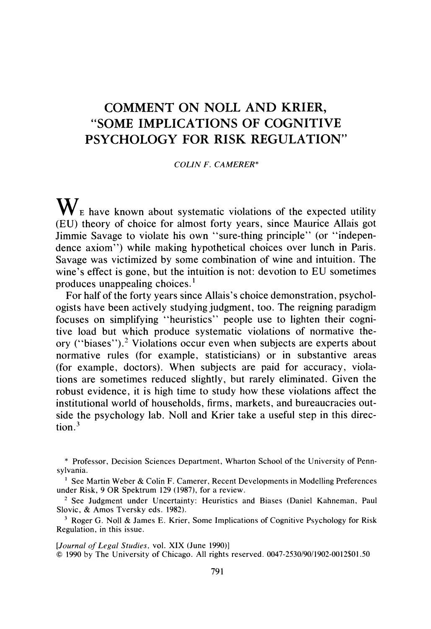# **COMMENT ON NOLL AND KRIER, "SOME IMPLICATIONS OF COGNITIVE PSYCHOLOGY FOR RISK REGULATION"**

### **COLIN F. CAMERER\***

W<sub>E</sub> have known about systematic violations of the expected utility **(EU) theory of choice for almost forty years, since Maurice Allais got Jimmie Savage to violate his own "sure-thing principle" (or "independence axiom") while making hypothetical choices over lunch in Paris. Savage was victimized by some combination of wine and intuition. The wine's effect is gone, but the intuition is not: devotion to EU sometimes produces unappealing choices.1** 

**For half of the forty years since Allais's choice demonstration, psychologists have been actively studying judgment, too. The reigning paradigm focuses on simplifying "heuristics" people use to lighten their cognitive load but which produce systematic violations of normative theory ("biases").2 Violations occur even when subjects are experts about normative rules (for example, statisticians) or in substantive areas (for example, doctors). When subjects are paid for accuracy, violations are sometimes reduced slightly, but rarely eliminated. Given the robust evidence, it is high time to study how these violations affect the institutional world of households, firms, markets, and bureaucracies outside the psychology lab. Noll and Krier take a useful step in this direction.3** 

**\* Professor, Decision Sciences Department, Wharton School of the University of Pennsylvania.** 

<sup>1</sup> See Martin Weber & Colin F. Camerer, Recent Developments in Modelling Preferences **under Risk, 9 OR Spektrum 129 (1987), for a review.** 

**<sup>2</sup>See Judgment under Uncertainty: Heuristics and Biases (Daniel Kahneman, Paul Slovic, & Amos Tversky eds. 1982).** 

**3 Roger G. Noll & James E. Krier, Some Implications of Cognitive Psychology for Risk Regulation, in this issue.** 

**[Journal of Legal Studies, vol. XIX (June 1990)]** 

**? 1990 by The University of Chicago. All rights reserved. 0047-2530/90/1902-0012\$01.50**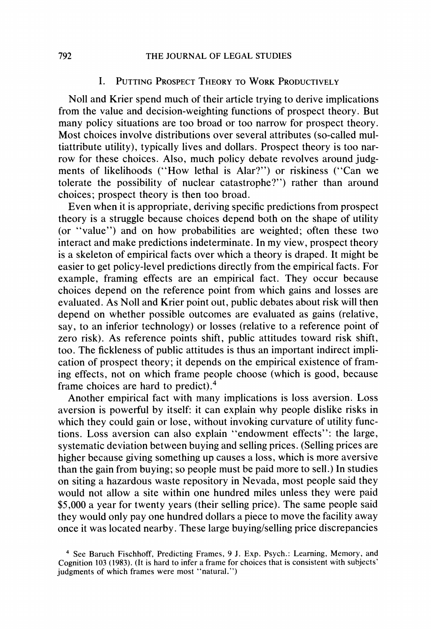### **792 THE JOURNAL OF LEGAL STUDIES**

# **I. PUTTING PROSPECT THEORY TO WORK PRODUCTIVELY**

**Noll and Krier spend much of their article trying to derive implications from the value and decision-weighting functions of prospect theory. But many policy situations are too broad or too narrow for prospect theory. Most choices involve distributions over several attributes (so-called multiattribute utility), typically lives and dollars. Prospect theory is too narrow for these choices. Also, much policy debate revolves around judgments of likelihoods ("How lethal is Alar?") or riskiness ("Can we tolerate the possibility of nuclear catastrophe?") rather than around choices; prospect theory is then too broad.** 

**Even when it is appropriate, deriving specific predictions from prospect theory is a struggle because choices depend both on the shape of utility (or "value") and on how probabilities are weighted; often these two interact and make predictions indeterminate. In my view, prospect theory is a skeleton of empirical facts over which a theory is draped. It might be easier to get policy-level predictions directly from the empirical facts. For example, framing effects are an empirical fact. They occur because choices depend on the reference point from which gains and losses are evaluated. As Noll and Krier point out, public debates about risk will then depend on whether possible outcomes are evaluated as gains (relative, say, to an inferior technology) or losses (relative to a reference point of zero risk). As reference points shift, public attitudes toward risk shift, too. The fickleness of public attitudes is thus an important indirect implication of prospect theory; it depends on the empirical existence of framing effects, not on which frame people choose (which is good, because frame choices are hard to predict).4** 

**Another empirical fact with many implications is loss aversion. Loss aversion is powerful by itself: it can explain why people dislike risks in which they could gain or lose, without invoking curvature of utility functions. Loss aversion can also explain "endowment effects": the large, systematic deviation between buying and selling prices. (Selling prices are higher because giving something up causes a loss, which is more aversive than the gain from buying; so people must be paid more to sell.) In studies on siting a hazardous waste repository in Nevada, most people said they would not allow a site within one hundred miles unless they were paid \$5,000 a year for twenty years (their selling price). The same people said they would only pay one hundred dollars a piece to move the facility away once it was located nearby. These large buying/selling price discrepancies** 

**<sup>4</sup> See Baruch Fischhoff, Predicting Frames, 9 J. Exp. Psych.: Learning, Memory, and Cognition 103 (1983). (It is hard to infer a frame for choices that is consistent with subjects' judgments of which frames were most "natural.")**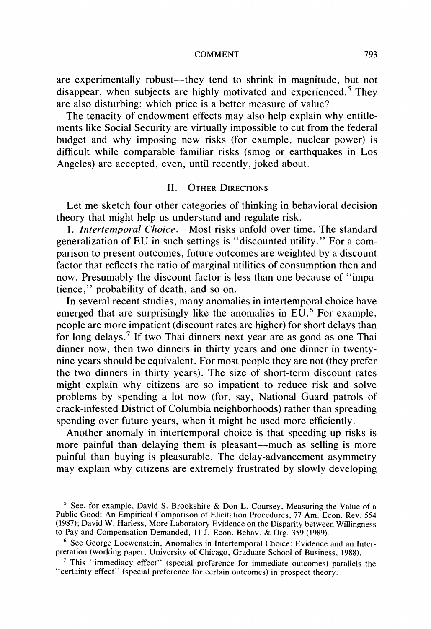are experimentally robust—they tend to shrink in magnitude, but not **disappear, when subjects are highly motivated and experienced.5 They are also disturbing: which price is a better measure of value?** 

**The tenacity of endowment effects may also help explain why entitlements like Social Security are virtually impossible to cut from the federal budget and why imposing new risks (for example, nuclear power) is difficult while comparable familiar risks (smog or earthquakes in Los Angeles) are accepted, even, until recently, joked about.** 

## **II. OTHER DIRECTIONS**

**Let me sketch four other categories of thinking in behavioral decision theory that might help us understand and regulate risk.** 

**1. Intertemporal Choice. Most risks unfold over time. The standard generalization of EU in such settings is "discounted utility." For a comparison to present outcomes, future outcomes are weighted by a discount factor that reflects the ratio of marginal utilities of consumption then and now. Presumably the discount factor is less than one because of "impatience," probability of death, and so on.** 

**In several recent studies, many anomalies in intertemporal choice have emerged that are surprisingly like the anomalies in EU.6 For example, people are more impatient (discount rates are higher) for short delays than for long delays.' If two Thai dinners next year are as good as one Thai dinner now, then two dinners in thirty years and one dinner in twentynine years should be equivalent. For most people they are not (they prefer the two dinners in thirty years). The size of short-term discount rates might explain why citizens are so impatient to reduce risk and solve problems by spending a lot now (for, say, National Guard patrols of crack-infested District of Columbia neighborhoods) rather than spreading spending over future years, when it might be used more efficiently.** 

**Another anomaly in intertemporal choice is that speeding up risks is**  more painful than delaying them is pleasant—much as selling is more **painful than buying is pleasurable. The delay-advancement asymmetry may explain why citizens are extremely frustrated by slowly developing** 

**<sup>5</sup>See, for example, David S. Brookshire & Don L. Coursey, Measuring the Value of a Public Good: An Empirical Comparison of Elicitation Procedures, 77 Am. Econ. Rev. 554 (1987); David W. Harless, More Laboratory Evidence on the Disparity between Willingness to Pay and Compensation Demanded, 11 J. Econ. Behav. & Org. 359 (1989).** 

**<sup>6</sup> See George Loewenstein, Anomalies in Intertemporal Choice: Evidence and an Interpretation (working paper, University of Chicago, Graduate School of Business, 1988).** 

**<sup>7</sup>This "immediacy effect" (special preference for immediate outcomes) parallels the "certainty effect" (special preference for certain outcomes) in prospect theory.**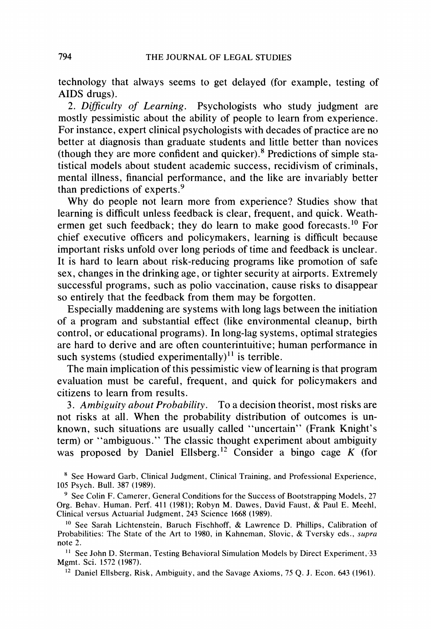**technology that always seems to get delayed (for example, testing of AIDS drugs).** 

**2. Difficulty of Learning. Psychologists who study judgment are mostly pessimistic about the ability of people to learn from experience. For instance, expert clinical psychologists with decades of practice are no better at diagnosis than graduate students and little better than novices (though they are more confident and quicker).8 Predictions of simple statistical models about student academic success, recidivism of criminals, mental illness, financial performance, and the like are invariably better than predictions of experts.9** 

**Why do people not learn more from experience? Studies show that learning is difficult unless feedback is clear, frequent, and quick. Weathermen get such feedback; they do learn to make good forecasts.'0 For chief executive officers and policymakers, learning is difficult because important risks unfold over long periods of time and feedback is unclear. It is hard to learn about risk-reducing programs like promotion of safe sex, changes in the drinking age, or tighter security at airports. Extremely successful programs, such as polio vaccination, cause risks to disappear so entirely that the feedback from them may be forgotten.** 

**Especially maddening are systems with long lags between the initiation of a program and substantial effect (like environmental cleanup, birth control, or educational programs). In long-lag systems, optimal strategies are hard to derive and are often counterintuitive; human performance in**  such systems (studied experimentally)<sup>11</sup> is terrible.

**The main implication of this pessimistic view of learning is that program evaluation must be careful, frequent, and quick for policymakers and citizens to learn from results.** 

**3. Ambiguity about Probability. To a decision theorist, most risks are not risks at all. When the probability distribution of outcomes is unknown, such situations are usually called "uncertain" (Frank Knight's term) or "ambiguous." The classic thought experiment about ambiguity was proposed by Daniel Ellsberg.12 Consider a bingo cage K (for** 

**8 See Howard Garb, Clinical Judgment, Clinical Training, and Professional Experience, 105 Psych. Bull. 387 (1989).** 

**9 See Colin F. Camerer, General Conditions for the Success of Bootstrapping Models, 27 Org. Behav. Human. Perf. 411 (1981); Robyn M. Dawes, David Faust, & Paul E. Meehl, Clinical versus Actuarial Judgment, 243 Science 1668 (1989).** 

**1o See Sarah Lichtenstein, Baruch Fischhoff, & Lawrence D. Phillips, Calibration of Probabilities: The State of the Art to 1980, in Kahneman, Slovic, & Tversky eds., supra note 2.** 

<sup>11</sup> See John D. Sterman, Testing Behavioral Simulation Models by Direct Experiment, 33 **Mgmt. Sci. 1572 (1987).** 

**12 Daniel Ellsberg, Risk, Ambiguity, and the Savage Axioms, 75 Q. J. Econ. 643 (1961).**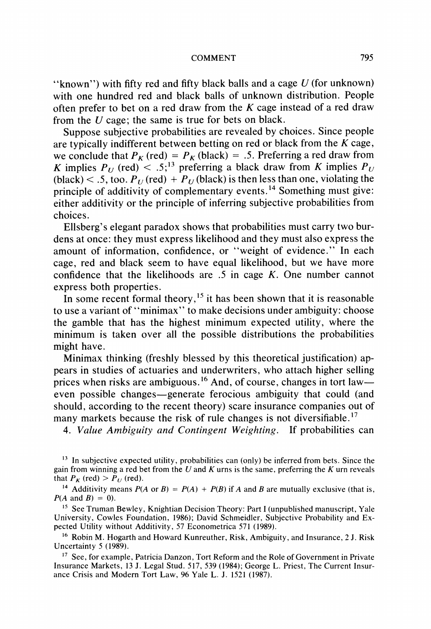**"known") with fifty red and fifty black balls and a cage U (for unknown) with one hundred red and black balls of unknown distribution. People often prefer to bet on a red draw from the K cage instead of a red draw from the U cage; the same is true for bets on black.** 

**Suppose subjective probabilities are revealed by choices. Since people are typically indifferent between betting on red or black from the K cage,**  we conclude that  $P_K$  (red) =  $P_K$  (black) = .5. Preferring a red draw from **K** implies  $P_U$  (red) <  $.5$ ;<sup>13</sup> preferring a black draw from K implies  $P_U$  $(b \le k) < 0.5$ , too.  $P_U$  (red) +  $P_U$  (black) is then less than one, violating the **principle of additivity of complementary events.14 Something must give: either additivity or the principle of inferring subjective probabilities from choices.** 

**Ellsberg's elegant paradox shows that probabilities must carry two burdens at once: they must express likelihood and they must also express the amount of information, confidence, or "weight of evidence." In each cage, red and black seem to have equal likelihood, but we have more confidence that the likelihoods are .5 in cage K. One number cannot express both properties.** 

In some recent formal theory,<sup>15</sup> it has been shown that it is reasonable **to use a variant of "minimax" to make decisions under ambiguity: choose the gamble that has the highest minimum expected utility, where the minimum is taken over all the possible distributions the probabilities might have.** 

**Minimax thinking (freshly blessed by this theoretical justification) appears in studies of actuaries and underwriters, who attach higher selling**  prices when risks are ambiguous.<sup>16</sup> And, of course, changes in tort law **even possible changes--generate ferocious ambiguity that could (and should, according to the recent theory) scare insurance companies out of many markets because the risk of rule changes is not diversifiable.17** 

**4. Value Ambiguity and Contingent Weighting. If probabilities can** 

<sup>13</sup> In subjective expected utility, probabilities can (only) be inferred from bets. Since the gain from winning a red bet from the  $U$  and  $K$  urns is the same, preferring the  $K$  urn reveals that  $P_K$  (red) >  $P_U$  (red).

<sup>14</sup> Additivity means  $P(A \text{ or } B) = P(A) + P(B)$  if A and B are mutually exclusive (that is,  $P(A \text{ and } B) = 0$ ).

<sup>15</sup> See Truman Bewley, Knightian Decision Theory: Part I (unpublished manuscript, Yale **University, Cowles Foundation, 1986); David Schmeidler, Subjective Probability and Expected Utility without Additivity, 57 Econometrica 571 (1989).** 

**<sup>16</sup>Robin M. Hogarth and Howard Kunreuther, Risk, Ambiguity, and Insurance, 2 J. Risk Uncertainty 5 (1989).** 

**<sup>17</sup>See, for example, Patricia Danzon, Tort Reform and the Role of Government in Private Insurance Markets, 13 J. Legal Stud. 517, 539 (1984); George L. Priest, The Current Insurance Crisis and Modern Tort Law, 96 Yale L. J. 1521 (1987).**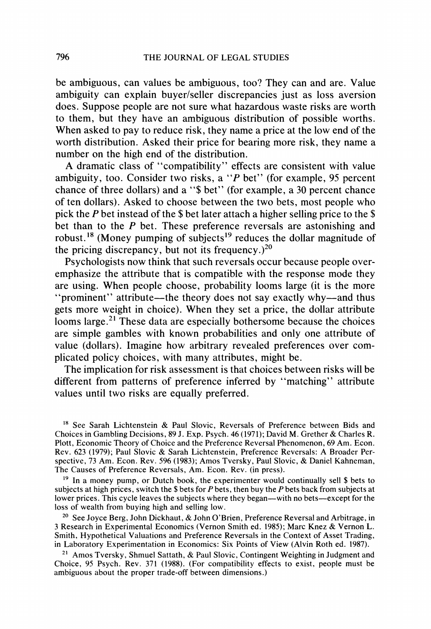**be ambiguous, can values be ambiguous, too? They can and are. Value ambiguity can explain buyer/seller discrepancies just as loss aversion does. Suppose people are not sure what hazardous waste risks are worth to them, but they have an ambiguous distribution of possible worths. When asked to pay to reduce risk, they name a price at the low end of the worth distribution. Asked their price for bearing more risk, they name a number on the high end of the distribution.** 

**A dramatic class of "compatibility" effects are consistent with value ambiguity, too. Consider two risks, a "P bet" (for example, 95 percent chance of three dollars) and a "\$ bet" (for example, a 30 percent chance of ten dollars). Asked to choose between the two bets, most people who pick the P bet instead of the \$ bet later attach a higher selling price to the \$ bet than to the P bet. These preference reversals are astonishing and robust.'8 (Money pumping of subjects'9 reduces the dollar magnitude of**  the pricing discrepancy, but not its  $\{f$ requency.)<sup>20</sup>

**Psychologists now think that such reversals occur because people overemphasize the attribute that is compatible with the response mode they are using. When people choose, probability looms large (it is the more "prominent" attribute-the theory does not say exactly why-and thus gets more weight in choice). When they set a price, the dollar attribute looms large.21 These data are especially bothersome because the choices are simple gambles with known probabilities and only one attribute of value (dollars). Imagine how arbitrary revealed preferences over complicated policy choices, with many attributes, might be.** 

**The implication for risk assessment is that choices between risks will be different from patterns of preference inferred by "matching" attribute values until two risks are equally preferred.** 

**<sup>18</sup>See Sarah Lichtenstein & Paul Slovic, Reversals of Preference between Bids and Choices in Gambling Decisions, 89 J. Exp. Psych. 46 (1971); David M. Grether & Charles R. Plott, Economic Theory of Choice and the Preference Reversal Phenomenon, 69 Am. Econ. Rev. 623 (1979); Paul Slovic & Sarah Lichtenstein, Preference Reversals: A Broader Perspective, 73 Am. Econ. Rev. 596 (1983); Amos Tversky, Paul Slovic, & Daniel Kahneman, The Causes of Preference Reversals, Am. Econ. Rev. (in press).** 

**<sup>19</sup>In a money pump, or Dutch book, the experimenter would continually sell \$ bets to subjects at high prices, switch the \$ bets for P bets, then buy the P bets back from subjects at**  lower prices. This cycle leaves the subjects where they began—with no bets—except for the **loss of wealth from buying high and selling low.** 

**<sup>20</sup>See Joyce Berg, John Dickhaut, & John O'Brien, Preference Reversal and Arbitrage, in 3 Research in Experimental Economics (Vernon Smith ed. 1985); Marc Knez & Vernon L. Smith, Hypothetical Valuations and Preference Reversals in the Context of Asset Trading, in Laboratory Experimentation in Economics: Six Points of View (Alvin Roth ed. 1987).** 

**<sup>21</sup>Amos Tversky, Shmuel Sattath, & Paul Slovic, Contingent Weighting in Judgment and Choice, 95 Psych. Rev. 371 (1988). (For compatibility effects to exist, people must be ambiguous about the proper trade-off between dimensions.)**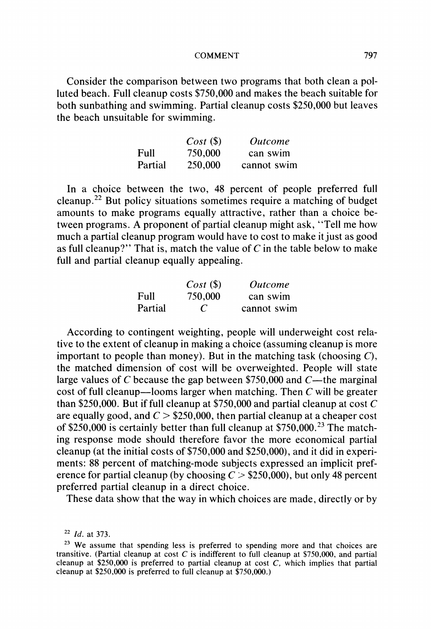**Consider the comparison between two programs that both clean a polluted beach. Full cleanup costs \$750,000 and makes the beach suitable for both sunbathing and swimming. Partial cleanup costs \$250,000 but leaves the beach unsuitable for swimming.** 

|             | Cost(S) | <i><u><b>Outcome</b></u></i> |
|-------------|---------|------------------------------|
| <b>Full</b> | 750,000 | can swim                     |
| Partial     | 250,000 | cannot swim                  |

**In a choice between the two, 48 percent of people preferred full cleanup.22 But policy situations sometimes require a matching of budget amounts to make programs equally attractive, rather than a choice between programs. A proponent of partial cleanup might ask, "Tell me how much a partial cleanup program would have to cost to make it just as good as full cleanup?" That is, match the value of C in the table below to make full and partial cleanup equally appealing.** 

|         | Cost(S) | <i><u>Outcome</u></i> |
|---------|---------|-----------------------|
| Full    | 750,000 | can swim              |
| Partial | C       | cannot swim           |

**According to contingent weighting, people will underweight cost relative to the extent of cleanup in making a choice (assuming cleanup is more important to people than money). But in the matching task (choosing C), the matched dimension of cost will be overweighted. People will state**  large values of C because the gap between \$750,000 and C—the marginal **cost of full cleanup-looms larger when matching. Then C will be greater than \$250,000. But if full cleanup at \$750,000 and partial cleanup at cost C are equally good, and C > \$250,000, then partial cleanup at a cheaper cost of \$250,000 is certainly better than full cleanup at \$750,000.23 The matching response mode should therefore favor the more economical partial cleanup (at the initial costs of \$750,000 and \$250,000), and it did in experiments: 88 percent of matching-mode subjects expressed an implicit pref**erence for partial cleanup (by choosing  $C > $250,000$ ), but only 48 percent **preferred partial cleanup in a direct choice.** 

**These data show that the way in which choices are made, directly or by** 

**<sup>22</sup>Id. at 373.** 

**<sup>23</sup>We assume that spending less is preferred to spending more and that choices are transitive. (Partial cleanup at cost C is indifferent to full cleanup at \$750,000, and partial cleanup at \$250,000 is preferred to partial cleanup at cost C, which implies that partial cleanup at \$250,000 is preferred to full cleanup at \$750,000.)**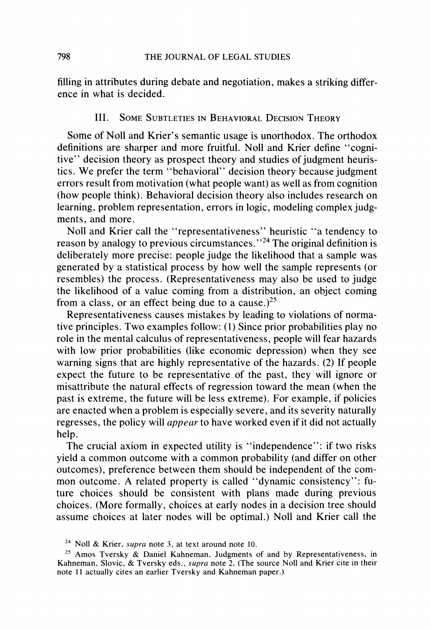**filling in attributes during debate and negotiation, makes a striking difference in what is decided.** 

## **III. SOME SUBTLETIES IN BEHAVIORAL DECISION THEORY**

**Some of Noll and Krier's semantic usage is unorthodox. The orthodox definitions are sharper and more fruitful. Noll and Krier define "cognitive" decision theory as prospect theory and studies of judgment heuristics. We prefer the term "behavioral" decision theory because judgment errors result from motivation (what people want) as well as from cognition (how people think). Behavioral decision theory also includes research on learning, problem representation, errors in logic, modeling complex judgments, and more.** 

**Noll and Krier call the "representativeness" heuristic "a tendency to reason by analogy to previous circumstances."24 The original definition is deliberately more precise: people judge the likelihood that a sample was generated by a statistical process by how well the sample represents (or resembles) the process. (Representativeness may also be used to judge the likelihood of a value coming from a distribution, an object coming**  from a class, or an effect being due to a cause.)<sup>25</sup>

**Representativeness causes mistakes by leading to violations of normative principles. Two examples follow: (1) Since prior probabilities play no role in the mental calculus of representativeness, people will fear hazards with low prior probabilities (like economic depression) when they see warning signs that are highly representative of the hazards. (2) If people expect the future to be representative of the past, they will ignore or misattribute the natural effects of regression toward the mean (when the past is extreme, the future will be less extreme). For example, if policies are enacted when a problem is especially severe, and its severity naturally regresses, the policy will appear to have worked even if it did not actually help.** 

**The crucial axiom in expected utility is "independence": if two risks yield a common outcome with a common probability (and differ on other outcomes), preference between them should be independent of the common outcome. A related property is called "dynamic consistency": future choices should be consistent with plans made during previous choices. (More formally, choices at early nodes in a decision tree should assume choices at later nodes will be optimal.) Noll and Krier call the** 

**<sup>24</sup>NOll & Krier, supra note 3, at text around note 10.** 

**<sup>25</sup>Amos Tversky & Daniel Kahneman, Judgments of and by Representativeness, in Kahneman, Slovic, & Tversky eds., supra note 2. (The source Noll and Krier cite in their note 11 actually cites an earlier Tversky and Kahneman paper.)**